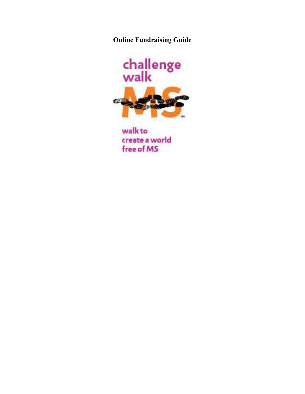**Online Fundraising Guide** 



walk to create a world free of MS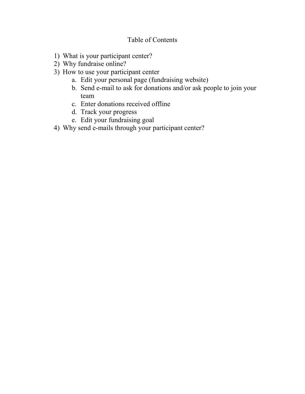# Table of Contents

- 1) What is your participant center?
- 2) Why fundraise online?
- 3) How to use your participant center
	- a. Edit your personal page (fundraising website)
	- b. Send e-mail to ask for donations and/or ask people to join your team
	- c. Enter donations received offline
	- d. Track your progress
	- e. Edit your fundraising goal
- 4) Why send e-mails through your participant center?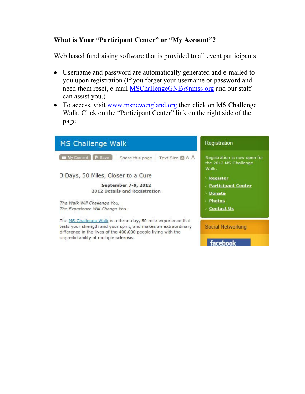## **What is Your "Participant Center" or "My Account"?**

Web based fundraising software that is provided to all event participants

- Username and password are automatically generated and e-mailed to you upon registration (If you forget your username or password and need them reset, e-mail MSChallengeGNE@nmss.org and our staff can assist you.)
- To access, visit www.msnewengland.org then click on MS Challenge Walk. Click on the "Participant Center" link on the right side of the page.

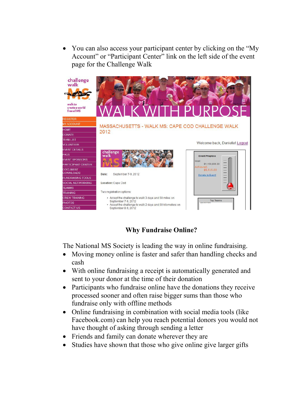• You can also access your participant center by clicking on the "My Account" or "Participant Center" link on the left side of the event page for the Challenge Walk



## **Why Fundraise Online?**

The National MS Society is leading the way in online fundraising.

- Moving money online is faster and safer than handling checks and cash
- With online fundraising a receipt is automatically generated and sent to your donor at the time of their donation
- Participants who fundraise online have the donations they receive processed sooner and often raise bigger sums than those who fundraise only with offline methods
- Online fundraising in combination with social media tools (like Facebook.com) can help you reach potential donors you would not have thought of asking through sending a letter
- Friends and family can donate wherever they are
- Studies have shown that those who give online give larger gifts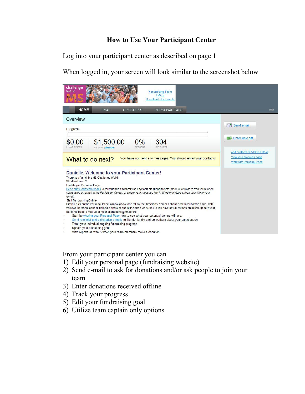## **How to Use Your Participant Center**

Log into your participant center as described on page 1

When logged in, your screen will look similar to the screenshot below

| challenge<br>walk<br><b>Fundraising Tools</b><br>FAQs<br><b>Download Documents</b>                                                                                                                                                                                                                                                                                                            |                                                    |
|-----------------------------------------------------------------------------------------------------------------------------------------------------------------------------------------------------------------------------------------------------------------------------------------------------------------------------------------------------------------------------------------------|----------------------------------------------------|
| <b>HOME</b><br><b>FMAIL</b><br>PERSONAL PAGE<br><b>PROGRESS</b>                                                                                                                                                                                                                                                                                                                               | Help                                               |
| Overview                                                                                                                                                                                                                                                                                                                                                                                      |                                                    |
| Progress                                                                                                                                                                                                                                                                                                                                                                                      | $\left  \cdot \right $ Send email                  |
|                                                                                                                                                                                                                                                                                                                                                                                               |                                                    |
| \$1,500.00<br>$0\%$<br>\$0.00<br>304                                                                                                                                                                                                                                                                                                                                                          | <b>Enter new gift</b>                              |
| <b>I HAVE RAISED</b><br>PERCENT<br>DAYS LEFT<br>MY GOAL (change)                                                                                                                                                                                                                                                                                                                              |                                                    |
|                                                                                                                                                                                                                                                                                                                                                                                               | Add contacts to Address Book                       |
| You have not sent any messages. You should email your contacts.<br>What to do next?                                                                                                                                                                                                                                                                                                           | View your progress page<br>Work with Personal Page |
|                                                                                                                                                                                                                                                                                                                                                                                               |                                                    |
| Danielle, Welcome to your Participant Center!<br>Thank you for joining MS Challenge Walk!<br>What to do next?<br>Update you Personal Page.<br>Send out suggested emails to your friends and family asking for their support! Note: Make sure to save frequently when<br>composing an email in the Participant Center, or create your message first in Word or Notepad, then copy it into your |                                                    |
| email.<br><b>Start Fundraising Online:</b>                                                                                                                                                                                                                                                                                                                                                    |                                                    |
| Simply click on the Personal Page symbol above and follow the directions. You can change the layout of the page, write                                                                                                                                                                                                                                                                        |                                                    |
| you own personal appeal, upload a photo or one of the ones we supply. If you have any questions on how to update your<br>personal page, email us at mschallengegne@nmss.org.                                                                                                                                                                                                                  |                                                    |
| Start by viewing your Personal Page now to see what your potential donors will see:<br>٠                                                                                                                                                                                                                                                                                                      |                                                    |
| Send reminder and solicitation e-mails to friends, family and co-workers about your participation<br>Track your individual ongoing fundraising progress                                                                                                                                                                                                                                       |                                                    |
| Update your fundraising goal                                                                                                                                                                                                                                                                                                                                                                  |                                                    |
| View reports on who & when your team members make a donation<br>$\bullet$                                                                                                                                                                                                                                                                                                                     |                                                    |

From your participant center you can

- 1) Edit your personal page (fundraising website)
- 2) Send e-mail to ask for donations and/or ask people to join your team
- 3) Enter donations received offline
- 4) Track your progress
- 5) Edit your fundraising goal
- 6) Utilize team captain only options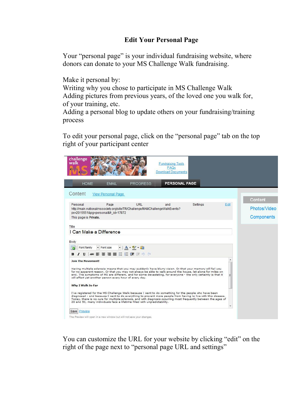## **Edit Your Personal Page**

Your "personal page" is your individual fundraising website, where donors can donate to your MS Challenge Walk fundraising.

Make it personal by:

Writing why you chose to participate in MS Challenge Walk Adding pictures from previous years, of the loved one you walk for, of your training, etc.

Adding a personal blog to update others on your fundraising/training process

To edit your personal page, click on the "personal page" tab on the top right of your participant center

| challenge<br>walk<br><b>Fundraising Tools</b><br>FAQs<br><b>Download Documents</b>                                                                                                                                                                                                                                                                                                                                                                              |                                 |
|-----------------------------------------------------------------------------------------------------------------------------------------------------------------------------------------------------------------------------------------------------------------------------------------------------------------------------------------------------------------------------------------------------------------------------------------------------------------|---------------------------------|
| PERSONAL PAGE<br><b>HOME</b><br><b>EMAIL</b><br><b>PROGRESS</b>                                                                                                                                                                                                                                                                                                                                                                                                 |                                 |
| Content<br><b>View Personal Page</b>                                                                                                                                                                                                                                                                                                                                                                                                                            |                                 |
| URL<br>Personal<br>Page<br>Settings<br>and<br>http://main.nationalmssociety.org/site/TR/Challenge/MAMChallengeWalkEvents?<br>px=2015551&pq=personal&fr id=17872                                                                                                                                                                                                                                                                                                 | Content<br>Edit<br>Photos/Video |
| This page is Private.<br>Title                                                                                                                                                                                                                                                                                                                                                                                                                                  | Components                      |
| I Can Make a Difference<br>Body<br>- A = ウ - 論<br>Font size<br>Font family<br>│ ## 手着着着目に扫描まり (*<br>$B$ $I$ $U$                                                                                                                                                                                                                                                                                                                                                 |                                 |
| <b>Join The Movement!</b><br>Having multiple sclerosis means that you may suddenly have blurry vision. Or that your memory will fail you<br>for no apparent reason. Or that you may not always be able to walk around the house, let alone for miles on<br>end. The symptoms of MS are different, and for some devastating, for everyone - the only certainty is that it<br>will affect yet another person every hour of every day.<br><b>Why I Walk So Far</b> |                                 |
| I've registered for the MS Challenge Walk because I want to do something for the people who have been<br>diagnosed - and because I want to do everything to prevent more people from having to live with this disease.<br>Today, there is no cure for multiple sclerosis, and with diagnosis occurring most frequently between the ages of<br>20 and 50, many individuals face a lifetime filled with unpredictability.                                         |                                 |
| Preview<br>Save<br>The Preview will open in a new window but will not save your changes.                                                                                                                                                                                                                                                                                                                                                                        |                                 |

You can customize the URL for your website by clicking "edit" on the right of the page next to "personal page URL and settings"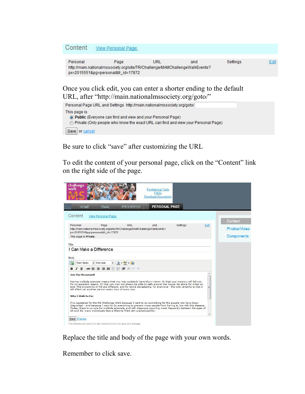#### Content **View Personal Page**

Personal **URL** Settings Page and Fdit http://main.nationalmssociety.org/site/TR/Challenge/MAMChallengeWalkEvents? px=2015551&pg=personal&fr\_id=17872

Once you click edit, you can enter a shorter ending to the default URL, after "http://main.nationalmssociety.org/goto/"



Be sure to click "save" after customizing the URL

To edit the content of your personal page, click on the "Content" link on the right side of the page.



Replace the title and body of the page with your own words.

Remember to click save.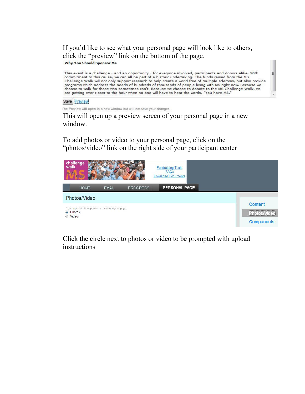If you'd like to see what your personal page will look like to others, click the "preview" link on the bottom of the page. Why You Should Sponsor Me

This event is a challenge - and an opportunity - for everyone involved, participants and donors alike. With commitment to this cause, we can all be part of a historic undertaking. The funds raised from the MS Challenge Walk will not only support research to help create a world free of multiple sclerosis, but also provide programs which address the needs of hundreds of thousands of people living with MS right now. Because we choose to walk for those who sometimes can't. Because we choose to donate to the MS Challenge Walk, we<br>are getting ever closer to the hour when no one will have to hear the words, "You have MS."

E

Save Preview

The Preview will open in a new window but will not save your changes.

This will open up a preview screen of your personal page in a new window.

To add photos or video to your personal page, click on the "photos/video" link on the right side of your participant center



Click the circle next to photos or video to be prompted with upload instructions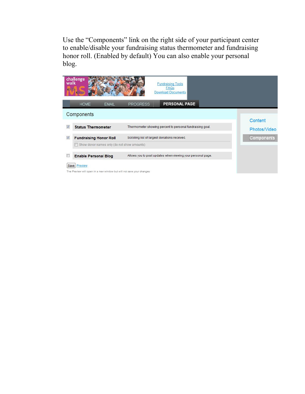Use the "Components" link on the right side of your participant center to enable/disable your fundraising status thermometer and fundraising honor roll. (Enabled by default) You can also enable your personal blog.

|   | challenge<br>walk                                                                     | <b>Fundraising Tools</b><br>FAQs<br><b>Download Documents</b> |                         |
|---|---------------------------------------------------------------------------------------|---------------------------------------------------------------|-------------------------|
|   | <b>HOME</b><br><b>EMAIL</b>                                                           | PERSONAL PAGE<br><b>PROGRESS</b>                              |                         |
|   | Components                                                                            |                                                               |                         |
| V | <b>Status Thermometer</b>                                                             | Thermometer showing percent to personal fundraising goal.     | Content<br>Photos/Video |
| ⊽ | <b>Fundraising Honor Roll</b>                                                         | Scrolling list of largest donations received.                 | Components              |
|   | Show donor names only (do not show amounts)                                           |                                                               |                         |
| E | <b>Enable Personal Blog</b>                                                           | Allows you to post updates when viewing your personal page.   |                         |
|   | Save Preview<br>The Preview will open in a new window but will not save your changes. |                                                               |                         |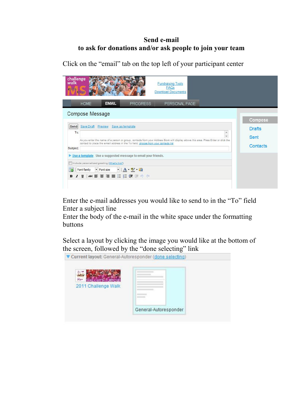## **Send e-mail to ask for donations and/or ask people to join your team**

| challenge<br>walk<br><b>Fundraising Tools</b><br>FAQs<br><b>Download Documents</b><br><b>EMAIL</b><br><b>HOME</b><br><b>PROGRESS</b><br>PERSONAL PAGE                                                                                                                                      |                                   |
|--------------------------------------------------------------------------------------------------------------------------------------------------------------------------------------------------------------------------------------------------------------------------------------------|-----------------------------------|
| <b>Compose Message</b>                                                                                                                                                                                                                                                                     | Compose                           |
| Save Draft Preview Save as template<br>Send<br>To:<br>As you enter the name of a person or group, contacts from your Address Book will display above this area. Press Enter or click the<br>contact to place the email address in the To field. choose from your contacts list<br>Subject: | <b>Drafts</b><br>Sent<br>Contacts |
| ▶ Use a template Use a suggested message to email your friends.<br>Im Include personalized greeting (What's this?)<br>$ A - 2$ $-$<br>Font family<br>Font size<br> ABC事業種重任担領銀り (*)<br>$I \perp$<br>B                                                                                      |                                   |

Click on the "email" tab on the top left of your participant center

Enter the e-mail addresses you would like to send to in the "To" field Enter a subject line

Enter the body of the e-mail in the white space under the formatting buttons

Select a layout by clicking the image you would like at the bottom of the screen, followed by the "done selecting" link<br> **v** Current layout: General-Autoresponder (done selecting)

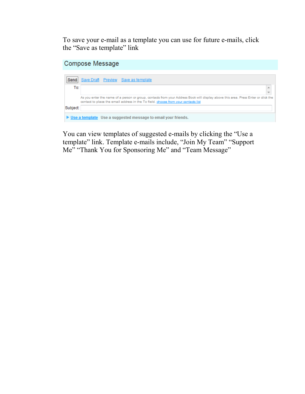To save your e-mail as a template you can use for future e-mails, click the "Save as template" link

#### **Compose Message**



You can view templates of suggested e-mails by clicking the "Use a template" link. Template e-mails include, "Join My Team" "Support Me" "Thank You for Sponsoring Me" and "Team Message"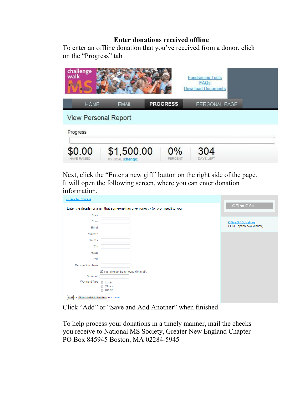### **Enter donations received offline**

To enter an offline donation that you've received from a donor, click on the "Progress" tab

| challenge<br>walk           |                                |                  | <b>Fundraising Tools</b><br><b>FAQs</b><br><b>Download Documents</b> |  |
|-----------------------------|--------------------------------|------------------|----------------------------------------------------------------------|--|
| <b>HOME</b>                 | <b>EMAIL</b>                   | <b>PROGRESS</b>  | PERSONAL PAGE                                                        |  |
| <b>View Personal Report</b> |                                |                  |                                                                      |  |
| Progress                    |                                |                  |                                                                      |  |
| \$0.00<br>I HAVE RAISED     | \$1,500.00<br>MY GOAL (change) | $0\%$<br>PERCENT | 304<br>DAYS LEFT                                                     |  |

Next, click the "Enter a new gift" button on the right side of the page. It will open the following screen, where you can enter donation information.

| « Back to Progress                    |                                                                                    |                                |
|---------------------------------------|------------------------------------------------------------------------------------|--------------------------------|
|                                       | Enter the details for a gift that someone has given directly (or promised) to you: | Offline Gifts                  |
| *First                                |                                                                                    |                                |
| *Last                                 |                                                                                    | <b>Offline Gift Guidelines</b> |
| Email                                 |                                                                                    | (.PDF, opens new window)       |
| *Street 1                             |                                                                                    |                                |
| Street 2                              |                                                                                    |                                |
| *City                                 |                                                                                    |                                |
| *State                                |                                                                                    |                                |
| *Zip                                  |                                                                                    |                                |
| Recognition Name                      |                                                                                    |                                |
|                                       | Yes, display the amount of this gift.                                              |                                |
| *Amount                               |                                                                                    |                                |
| *Payment Type                         | Cash<br>Check<br>⋒<br>Credit<br>∩                                                  |                                |
| Save and Add Another or cancel<br>Add |                                                                                    |                                |

Click "Add" or "Save and Add Another" when finished

To help process your donations in a timely manner, mail the checks you receive to National MS Society, Greater New England Chapter PO Box 845945 Boston, MA 02284-5945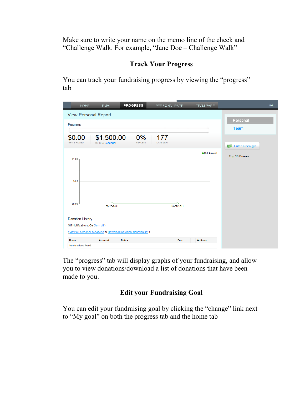Make sure to write your name on the memo line of the check and "Challenge Walk. For example, "Jane Doe – Challenge Walk"

# **Track Your Progress**

You can track your fundraising progress by viewing the "progress" tab

| <b>HOME</b>                                                            | <b>EMAIL</b>                                                  | <b>PROGRESS</b>                                                  | PERSONAL PAGE           | <b>TEAM PAGE</b> | <b>Help</b>                                                         |
|------------------------------------------------------------------------|---------------------------------------------------------------|------------------------------------------------------------------|-------------------------|------------------|---------------------------------------------------------------------|
| Progress<br>\$0.00<br><b>I HAVE RAISED</b><br>\$1.00<br>\$0.5          | <b>View Personal Report</b><br>\$1,500.00<br>MY GOAL (change) | 0%<br><b>PERCENT</b>                                             | 177<br><b>DAYS LEFT</b> | ● Gift Amount    | Personal<br>Team<br><b>Enter a new gift</b><br><b>Top 10 Donors</b> |
| \$0.00<br><b>Donation History</b><br>Gift Notifications: On (turn off) | 09-23-2011                                                    |                                                                  | 10-07-2011              |                  |                                                                     |
|                                                                        |                                                               | (View all personal donations or Download personal donation list) |                         |                  |                                                                     |
| <b>Donor</b>                                                           | <b>Amount</b>                                                 | <b>Notes</b>                                                     | Date                    | <b>Actions</b>   |                                                                     |
| No donations found.                                                    |                                                               |                                                                  |                         |                  |                                                                     |

The "progress" tab will display graphs of your fundraising, and allow you to view donations/download a list of donations that have been made to you.

## **Edit your Fundraising Goal**

You can edit your fundraising goal by clicking the "change" link next to "My goal" on both the progress tab and the home tab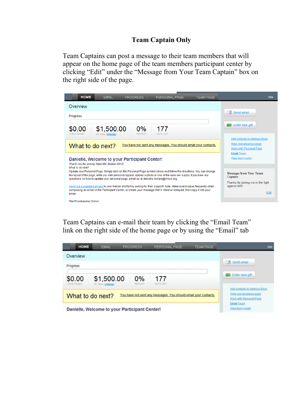## **Team Captain Only**

Team Captains can post a message to their team members that will appear on the home page of the team members participant center by clicking "Edit" under the "Message from Your Team Captain" box on the right side of the page.

| <b>HOME</b><br><b>EMAIL</b><br>PERSONAL PAGE<br><b>TEAM PAGE</b><br><b>PROGRESS</b>                                                                                                                                                                                                                                               | Help                                                                               |
|-----------------------------------------------------------------------------------------------------------------------------------------------------------------------------------------------------------------------------------------------------------------------------------------------------------------------------------|------------------------------------------------------------------------------------|
| Overview                                                                                                                                                                                                                                                                                                                          |                                                                                    |
| Progress                                                                                                                                                                                                                                                                                                                          | $\ $ $\ $ Send email                                                               |
| $0\%$<br>\$1,500.00<br>\$0.00<br>177<br><b>PERCENT</b><br><b>DAYS LEFT</b><br><b>I HAVE RAISED</b><br>MY GOAL (change)                                                                                                                                                                                                            | Enter new gift<br>TST                                                              |
| You have not sent any messages. You should email your contacts.<br>What to do next?                                                                                                                                                                                                                                               | Add contacts to Address Book<br>View your progress page<br>Work with Personal Page |
| Danielle, Welcome to your Participant Center!<br>Thank you for joining Walk MS: Boston 2012!<br>What to do next?                                                                                                                                                                                                                  | <b>Email Team</b><br>View team roster                                              |
| Update your Personal Page. Simply click on the Personal Page symbol above and follow the directions. You can change<br>the layout of the page, write you own personal appeal, upload a photo or one of the ones we supply. If you have any<br>questions on how to update your personal page, email us at danielle.kempe@nmss.org. | <b>Message from Your Team</b><br>Captain                                           |
| Send out suggested emails to your friends and family asking for their support! Note: Make sure to save frequently when<br>composing an email in the Participant Center, or create your message first in Word or Notepad, then copy it into your<br>email                                                                          | Thanks for joining me in the fight<br>against MS!<br>Edit                          |
| <b>Start Fundraising Online:</b>                                                                                                                                                                                                                                                                                                  |                                                                                    |

Team Captains can e-mail their team by clicking the "Email Team" link on the right side of the home page or by using the "Email" tab

| HOME                                                                                | <b>EMAIL</b>                   | <b>PROGRESS</b>                               | PERSONAL PAGE           | <b>TEAM PAGE</b>                                                                   | Heli                                  |
|-------------------------------------------------------------------------------------|--------------------------------|-----------------------------------------------|-------------------------|------------------------------------------------------------------------------------|---------------------------------------|
| Overview                                                                            |                                |                                               |                         |                                                                                    |                                       |
| Progress                                                                            |                                |                                               |                         |                                                                                    | Send email                            |
| \$0.00<br>I HAVE RAISED                                                             | \$1,500.00<br>MY GOAL (change) | 0%<br>PERCENT                                 | 177<br><b>DAYS LEFT</b> |                                                                                    | <b>ED</b> Enter new oil               |
| You have not sent any messages. You should email your contacts.<br>What to do next? |                                |                                               |                         | Add contacts to Address Book<br>View your progress page<br>Work with Personal Page |                                       |
|                                                                                     |                                | Danielle, Welcome to your Participant Center! |                         |                                                                                    | <b>Email Team</b><br>View team roster |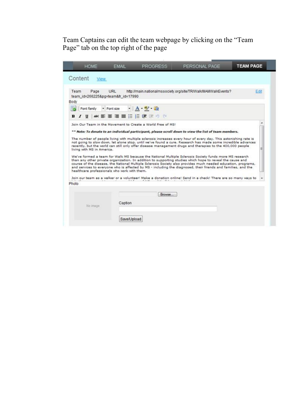Team Captains can edit the team webpage by clicking on the "Team Page" tab on the top right of the page

| <b>HOME</b>                                                                | <b>EMAIL</b>           | <b>PROGRESS</b>                                             | PERSONAL PAGE                                                                                                                                                                                                                                                                                                                                                                                                                                                                                                                                                                                                                                                                                                                                                                                                                                                                                                                                                                                                                  | <b>TEAM PAGE</b> |      |
|----------------------------------------------------------------------------|------------------------|-------------------------------------------------------------|--------------------------------------------------------------------------------------------------------------------------------------------------------------------------------------------------------------------------------------------------------------------------------------------------------------------------------------------------------------------------------------------------------------------------------------------------------------------------------------------------------------------------------------------------------------------------------------------------------------------------------------------------------------------------------------------------------------------------------------------------------------------------------------------------------------------------------------------------------------------------------------------------------------------------------------------------------------------------------------------------------------------------------|------------------|------|
| Content<br><b>View</b>                                                     |                        |                                                             |                                                                                                                                                                                                                                                                                                                                                                                                                                                                                                                                                                                                                                                                                                                                                                                                                                                                                                                                                                                                                                |                  |      |
| Team<br>Page<br>team_id=266225&pg=team&fr_id=17990<br>Body                 | URL                    |                                                             | http://main.nationalmssociety.org/site/TR/Walk/MAMWalkEvents?                                                                                                                                                                                                                                                                                                                                                                                                                                                                                                                                                                                                                                                                                                                                                                                                                                                                                                                                                                  |                  | Edit |
| Font family<br>в<br>U                                                      | · Font size            | - A 2 論<br>※ ま 套 理 書 狂 狂 健 眠 り 心                            |                                                                                                                                                                                                                                                                                                                                                                                                                                                                                                                                                                                                                                                                                                                                                                                                                                                                                                                                                                                                                                |                  |      |
| living with MS in America.<br>healthcare professionals who work with them. |                        | Join Our Team in the Movement to Create a World Free of MS! | ** Note: To donate to an individual participant, please scroll down to view the list of team members.<br>The number of people living with multiple sclerosis increases every hour of every day. This astonishing rate is<br>not going to slow down, let alone stop, until we've found a cure. Research has made some incredible advances<br>recently, but the world can still only offer disease management drugs and therapies to the 400,000 people<br>We've formed a team for Walk MS because the National Multiple Sclerosis Society funds more MS research<br>than any other private organization. In addition to supporting studies which hope to reveal the cause and<br>course of the disease, the National Multiple Sclerosis Society also provides much needed education, programs,<br>and services to everyone who is affected by MS - including the diagnosed, their friends and families, and the<br>Join our team as a walker or a volunteer! Make a donation online! Send in a check! There are so many ways to |                  |      |
| Photo<br>No image                                                          | Caption<br>Save/Upload | Browse                                                      |                                                                                                                                                                                                                                                                                                                                                                                                                                                                                                                                                                                                                                                                                                                                                                                                                                                                                                                                                                                                                                |                  |      |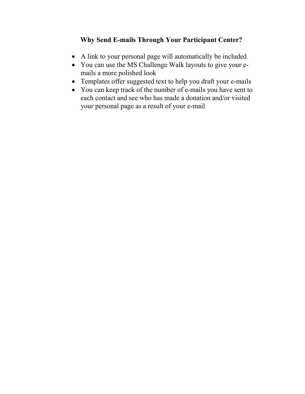# **Why Send E-mails Through Your Participant Center?**

- A link to your personal page will automatically be included
- You can use the MS Challenge Walk layouts to give your emails a more polished look
- Templates offer suggested text to help you draft your e-mails
- You can keep track of the number of e-mails you have sent to each contact and see who has made a donation and/or visited your personal page as a result of your e-mail